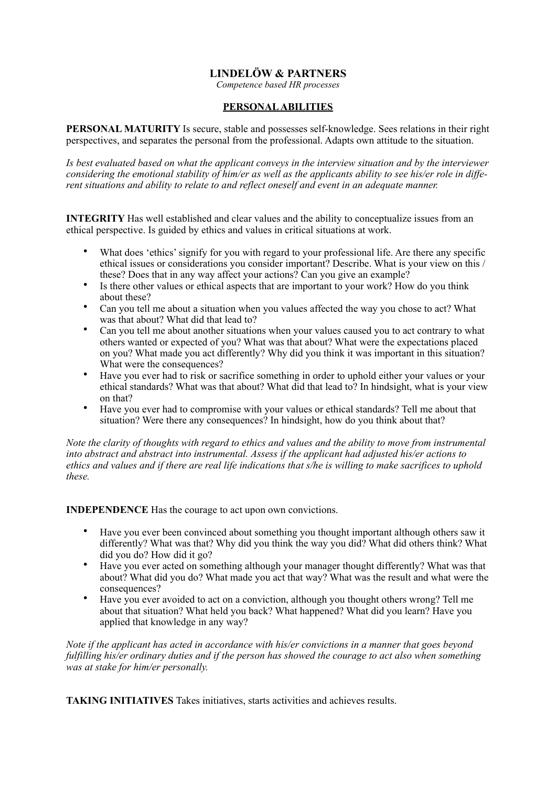# **LINDELÖW & PARTNERS**

*Competence based HR processes* 

#### **PERSONAL ABILITIES**

**PERSONAL MATURITY** Is secure, stable and possesses self-knowledge. Sees relations in their right perspectives, and separates the personal from the professional. Adapts own attitude to the situation.

*Is best evaluated based on what the applicant conveys in the interview situation and by the interviewer considering the emotional stability of him/er as well as the applicants ability to see his/er role in different situations and ability to relate to and reflect oneself and event in an adequate manner.* 

**INTEGRITY** Has well established and clear values and the ability to conceptualize issues from an ethical perspective. Is guided by ethics and values in critical situations at work.

- What does 'ethics' signify for you with regard to your professional life. Are there any specific ethical issues or considerations you consider important? Describe. What is your view on this / these? Does that in any way affect your actions? Can you give an example?
- Is there other values or ethical aspects that are important to your work? How do you think about these?
- Can you tell me about a situation when you values affected the way you chose to act? What was that about? What did that lead to?
- Can you tell me about another situations when your values caused you to act contrary to what others wanted or expected of you? What was that about? What were the expectations placed on you? What made you act differently? Why did you think it was important in this situation? What were the consequences?
- Have you ever had to risk or sacrifice something in order to uphold either your values or your ethical standards? What was that about? What did that lead to? In hindsight, what is your view on that?
- Have you ever had to compromise with your values or ethical standards? Tell me about that situation? Were there any consequences? In hindsight, how do you think about that?

*Note the clarity of thoughts with regard to ethics and values and the ability to move from instrumental into abstract and abstract into instrumental. Assess if the applicant had adjusted his/er actions to ethics and values and if there are real life indications that s/he is willing to make sacrifices to uphold these.* 

**INDEPENDENCE** Has the courage to act upon own convictions.

- Have you ever been convinced about something you thought important although others saw it differently? What was that? Why did you think the way you did? What did others think? What did you do? How did it go?
- Have you ever acted on something although your manager thought differently? What was that about? What did you do? What made you act that way? What was the result and what were the consequences?
- Have you ever avoided to act on a conviction, although you thought others wrong? Tell me about that situation? What held you back? What happened? What did you learn? Have you applied that knowledge in any way?

*Note if the applicant has acted in accordance with his/er convictions in a manner that goes beyond fulfilling his/er ordinary duties and if the person has showed the courage to act also when something was at stake for him/er personally.* 

**TAKING INITIATIVES** Takes initiatives, starts activities and achieves results.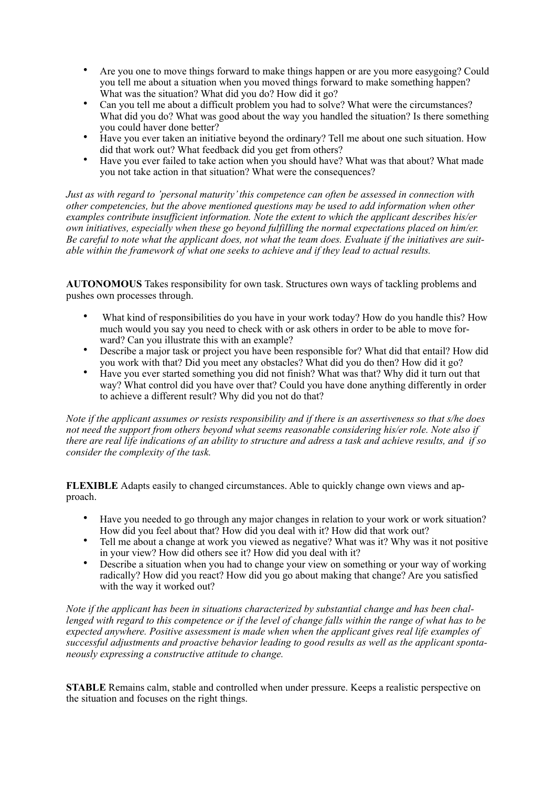- Are you one to move things forward to make things happen or are you more easygoing? Could you tell me about a situation when you moved things forward to make something happen? What was the situation? What did you do? How did it go?
- Can you tell me about a difficult problem you had to solve? What were the circumstances? What did you do? What was good about the way you handled the situation? Is there something you could haver done better?
- Have you ever taken an initiative beyond the ordinary? Tell me about one such situation. How did that work out? What feedback did you get from others?
- Have you ever failed to take action when you should have? What was that about? What made you not take action in that situation? What were the consequences?

*Just as with regard to 'personal maturity' this competence can often be assessed in connection with other competencies, but the above mentioned questions may be used to add information when other examples contribute insufficient information. Note the extent to which the applicant describes his/er own initiatives, especially when these go beyond fulfilling the normal expectations placed on him/er. Be careful to note what the applicant does, not what the team does. Evaluate if the initiatives are suitable within the framework of what one seeks to achieve and if they lead to actual results.* 

**AUTONOMOUS** Takes responsibility for own task. Structures own ways of tackling problems and pushes own processes through.

- What kind of responsibilities do you have in your work today? How do you handle this? How much would you say you need to check with or ask others in order to be able to move forward? Can you illustrate this with an example?
- Describe a major task or project you have been responsible for? What did that entail? How did you work with that? Did you meet any obstacles? What did you do then? How did it go?
- Have you ever started something you did not finish? What was that? Why did it turn out that way? What control did you have over that? Could you have done anything differently in order to achieve a different result? Why did you not do that?

*Note if the applicant assumes or resists responsibility and if there is an assertiveness so that s/he does not need the support from others beyond what seems reasonable considering his/er role. Note also if there are real life indications of an ability to structure and adress a task and achieve results, and if so consider the complexity of the task.* 

**FLEXIBLE** Adapts easily to changed circumstances. Able to quickly change own views and approach.

- Have you needed to go through any major changes in relation to your work or work situation? How did you feel about that? How did you deal with it? How did that work out?
- Tell me about a change at work you viewed as negative? What was it? Why was it not positive in your view? How did others see it? How did you deal with it?
- Describe a situation when you had to change your view on something or your way of working radically? How did you react? How did you go about making that change? Are you satisfied with the way it worked out?

*Note if the applicant has been in situations characterized by substantial change and has been challenged with regard to this competence or if the level of change falls within the range of what has to be expected anywhere. Positive assessment is made when when the applicant gives real life examples of successful adjustments and proactive behavior leading to good results as well as the applicant spontaneously expressing a constructive attitude to change.* 

**STABLE** Remains calm, stable and controlled when under pressure. Keeps a realistic perspective on the situation and focuses on the right things.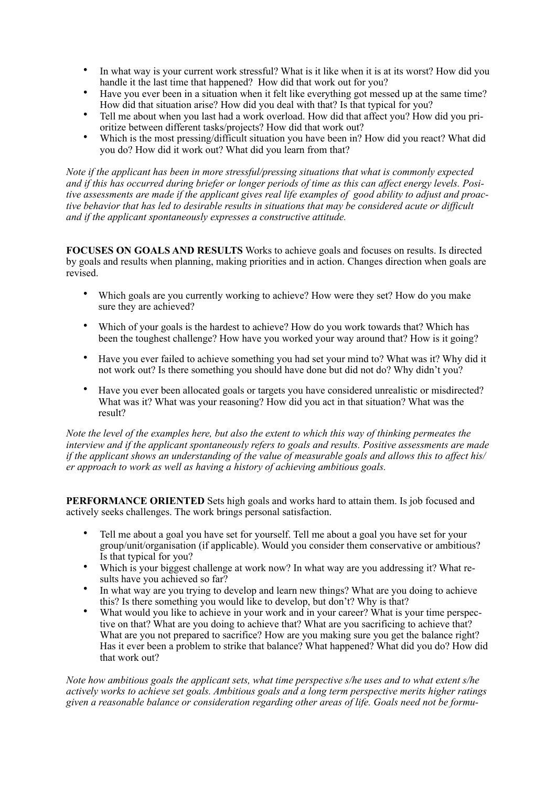- In what way is your current work stressful? What is it like when it is at its worst? How did you handle it the last time that happened? How did that work out for you?
- Have you ever been in a situation when it felt like everything got messed up at the same time? How did that situation arise? How did you deal with that? Is that typical for you?
- Tell me about when you last had a work overload. How did that affect you? How did you prioritize between different tasks/projects? How did that work out?
- Which is the most pressing/difficult situation you have been in? How did you react? What did you do? How did it work out? What did you learn from that?

*Note if the applicant has been in more stressful/pressing situations that what is commonly expected and if this has occurred during briefer or longer periods of time as this can affect energy levels. Positive assessments are made if the applicant gives real life examples of good ability to adjust and proactive behavior that has led to desirable results in situations that may be considered acute or difficult and if the applicant spontaneously expresses a constructive attitude.* 

**FOCUSES ON GOALS AND RESULTS** Works to achieve goals and focuses on results. Is directed by goals and results when planning, making priorities and in action. Changes direction when goals are revised.

- Which goals are you currently working to achieve? How were they set? How do you make sure they are achieved?
- Which of your goals is the hardest to achieve? How do you work towards that? Which has been the toughest challenge? How have you worked your way around that? How is it going?
- Have you ever failed to achieve something you had set your mind to? What was it? Why did it not work out? Is there something you should have done but did not do? Why didn't you?
- Have you ever been allocated goals or targets you have considered unrealistic or misdirected? What was it? What was your reasoning? How did you act in that situation? What was the result?

*Note the level of the examples here, but also the extent to which this way of thinking permeates the interview and if the applicant spontaneously refers to goals and results. Positive assessments are made if the applicant shows an understanding of the value of measurable goals and allows this to affect his/ er approach to work as well as having a history of achieving ambitious goals.* 

**PERFORMANCE ORIENTED** Sets high goals and works hard to attain them. Is job focused and actively seeks challenges. The work brings personal satisfaction.

- Tell me about a goal you have set for yourself. Tell me about a goal you have set for your group/unit/organisation (if applicable). Would you consider them conservative or ambitious? Is that typical for you?
- Which is your biggest challenge at work now? In what way are you addressing it? What results have you achieved so far?
- In what way are you trying to develop and learn new things? What are you doing to achieve this? Is there something you would like to develop, but don't? Why is that?
- What would you like to achieve in your work and in your career? What is your time perspective on that? What are you doing to achieve that? What are you sacrificing to achieve that? What are you not prepared to sacrifice? How are you making sure you get the balance right? Has it ever been a problem to strike that balance? What happened? What did you do? How did that work out?

*Note how ambitious goals the applicant sets, what time perspective s/he uses and to what extent s/he actively works to achieve set goals. Ambitious goals and a long term perspective merits higher ratings given a reasonable balance or consideration regarding other areas of life. Goals need not be formu-*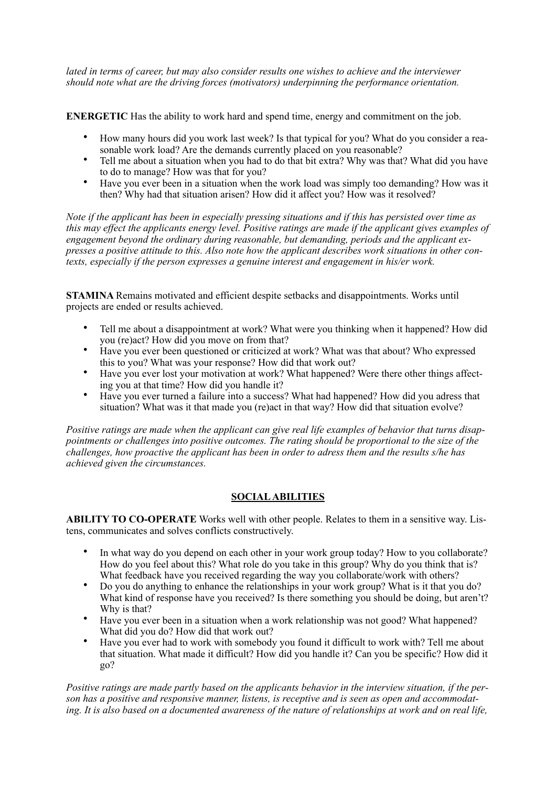*lated in terms of career, but may also consider results one wishes to achieve and the interviewer should note what are the driving forces (motivators) underpinning the performance orientation.* 

**ENERGETIC** Has the ability to work hard and spend time, energy and commitment on the job.

- How many hours did you work last week? Is that typical for you? What do you consider a reasonable work load? Are the demands currently placed on you reasonable?
- Tell me about a situation when you had to do that bit extra? Why was that? What did you have to do to manage? How was that for you?
- Have you ever been in a situation when the work load was simply too demanding? How was it then? Why had that situation arisen? How did it affect you? How was it resolved?

*Note if the applicant has been in especially pressing situations and if this has persisted over time as this may effect the applicants energy level. Positive ratings are made if the applicant gives examples of engagement beyond the ordinary during reasonable, but demanding, periods and the applicant expresses a positive attitude to this. Also note how the applicant describes work situations in other contexts, especially if the person expresses a genuine interest and engagement in his/er work.* 

**STAMINA** Remains motivated and efficient despite setbacks and disappointments. Works until projects are ended or results achieved.

- Tell me about a disappointment at work? What were you thinking when it happened? How did you (re)act? How did you move on from that?
- Have you ever been questioned or criticized at work? What was that about? Who expressed this to you? What was your response? How did that work out?
- Have you ever lost your motivation at work? What happened? Were there other things affecting you at that time? How did you handle it?
- Have you ever turned a failure into a success? What had happened? How did you adress that situation? What was it that made you (re)act in that way? How did that situation evolve?

*Positive ratings are made when the applicant can give real life examples of behavior that turns disappointments or challenges into positive outcomes. The rating should be proportional to the size of the challenges, how proactive the applicant has been in order to adress them and the results s/he has achieved given the circumstances.* 

#### **SOCIAL ABILITIES**

**ABILITY TO CO-OPERATE** Works well with other people. Relates to them in a sensitive way. Listens, communicates and solves conflicts constructively.

- In what way do you depend on each other in your work group today? How to you collaborate? How do you feel about this? What role do you take in this group? Why do you think that is? What feedback have you received regarding the way you collaborate/work with others?
- Do you do anything to enhance the relationships in your work group? What is it that you do? What kind of response have you received? Is there something you should be doing, but aren't? Why is that?
- Have you ever been in a situation when a work relationship was not good? What happened? What did you do? How did that work out?
- Have you ever had to work with somebody you found it difficult to work with? Tell me about that situation. What made it difficult? How did you handle it? Can you be specific? How did it go?

*Positive ratings are made partly based on the applicants behavior in the interview situation, if the person has a positive and responsive manner, listens, is receptive and is seen as open and accommodating. It is also based on a documented awareness of the nature of relationships at work and on real life,*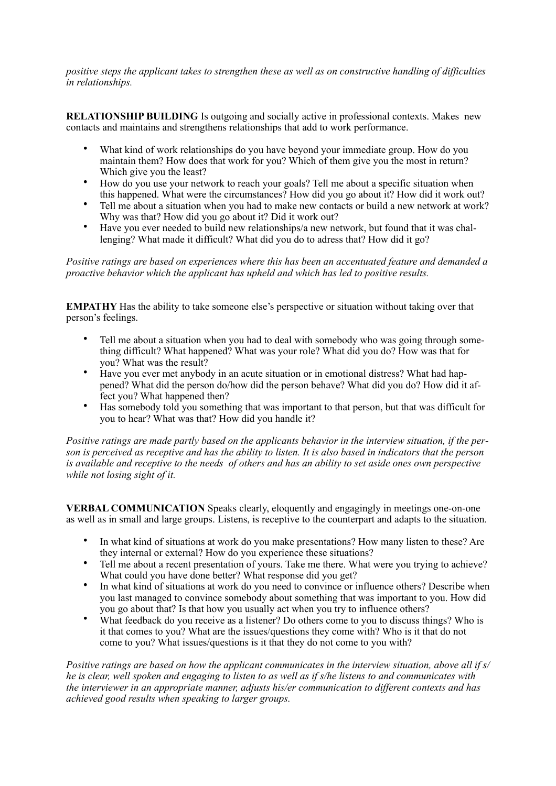*positive steps the applicant takes to strengthen these as well as on constructive handling of difficulties in relationships.* 

**RELATIONSHIP BUILDING** Is outgoing and socially active in professional contexts. Makes new contacts and maintains and strengthens relationships that add to work performance.

- What kind of work relationships do you have beyond your immediate group. How do you maintain them? How does that work for you? Which of them give you the most in return? Which give you the least?
- How do you use your network to reach your goals? Tell me about a specific situation when this happened. What were the circumstances? How did you go about it? How did it work out?
- Tell me about a situation when you had to make new contacts or build a new network at work? Why was that? How did you go about it? Did it work out?
- Have you ever needed to build new relationships/a new network, but found that it was challenging? What made it difficult? What did you do to adress that? How did it go?

*Positive ratings are based on experiences where this has been an accentuated feature and demanded a proactive behavior which the applicant has upheld and which has led to positive results.* 

**EMPATHY** Has the ability to take someone else's perspective or situation without taking over that person's feelings.

- Tell me about a situation when you had to deal with somebody who was going through something difficult? What happened? What was your role? What did you do? How was that for you? What was the result?
- Have you ever met anybody in an acute situation or in emotional distress? What had happened? What did the person do/how did the person behave? What did you do? How did it affect you? What happened then?
- Has somebody told you something that was important to that person, but that was difficult for you to hear? What was that? How did you handle it?

*Positive ratings are made partly based on the applicants behavior in the interview situation, if the person is perceived as receptive and has the ability to listen. It is also based in indicators that the person is available and receptive to the needs of others and has an ability to set aside ones own perspective while not losing sight of it.* 

**VERBAL COMMUNICATION** Speaks clearly, eloquently and engagingly in meetings one-on-one as well as in small and large groups. Listens, is receptive to the counterpart and adapts to the situation.

- In what kind of situations at work do you make presentations? How many listen to these? Are they internal or external? How do you experience these situations?
- Tell me about a recent presentation of yours. Take me there. What were you trying to achieve? What could you have done better? What response did you get?
- In what kind of situations at work do you need to convince or influence others? Describe when you last managed to convince somebody about something that was important to you. How did you go about that? Is that how you usually act when you try to influence others?
- What feedback do you receive as a listener? Do others come to you to discuss things? Who is it that comes to you? What are the issues/questions they come with? Who is it that do not come to you? What issues/questions is it that they do not come to you with?

*Positive ratings are based on how the applicant communicates in the interview situation, above all if s/ he is clear, well spoken and engaging to listen to as well as if s/he listens to and communicates with the interviewer in an appropriate manner, adjusts his/er communication to different contexts and has achieved good results when speaking to larger groups.*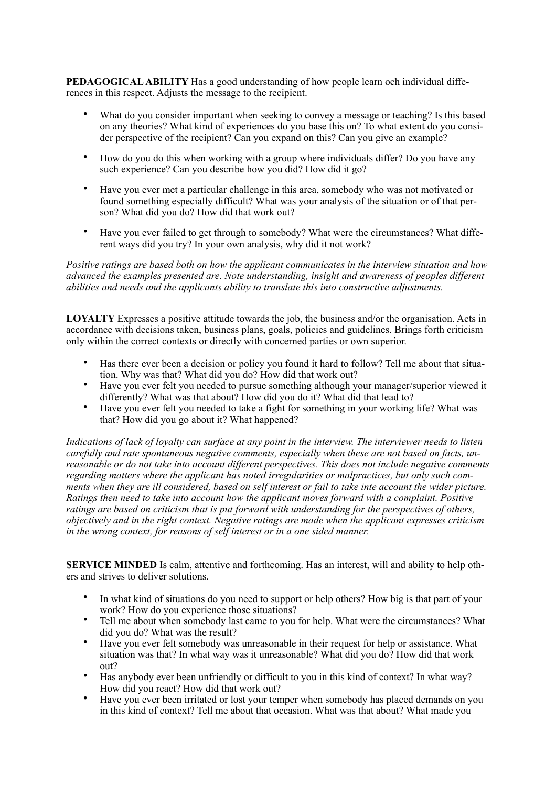**PEDAGOGICAL ABILITY** Has a good understanding of how people learn och individual differences in this respect. Adjusts the message to the recipient.

- What do you consider important when seeking to convey a message or teaching? Is this based on any theories? What kind of experiences do you base this on? To what extent do you consider perspective of the recipient? Can you expand on this? Can you give an example?
- How do you do this when working with a group where individuals differ? Do you have any such experience? Can you describe how you did? How did it go?
- Have you ever met a particular challenge in this area, somebody who was not motivated or found something especially difficult? What was your analysis of the situation or of that person? What did you do? How did that work out?
- Have you ever failed to get through to somebody? What were the circumstances? What different ways did you try? In your own analysis, why did it not work?

*Positive ratings are based both on how the applicant communicates in the interview situation and how advanced the examples presented are. Note understanding, insight and awareness of peoples different abilities and needs and the applicants ability to translate this into constructive adjustments.* 

**LOYALTY** Expresses a positive attitude towards the job, the business and/or the organisation. Acts in accordance with decisions taken, business plans, goals, policies and guidelines. Brings forth criticism only within the correct contexts or directly with concerned parties or own superior.

- Has there ever been a decision or policy you found it hard to follow? Tell me about that situation. Why was that? What did you do? How did that work out?
- Have you ever felt you needed to pursue something although your manager/superior viewed it differently? What was that about? How did you do it? What did that lead to?
- Have you ever felt you needed to take a fight for something in your working life? What was that? How did you go about it? What happened?

*Indications of lack of loyalty can surface at any point in the interview. The interviewer needs to listen carefully and rate spontaneous negative comments, especially when these are not based on facts, unreasonable or do not take into account different perspectives. This does not include negative comments regarding matters where the applicant has noted irregularities or malpractices, but only such comments when they are ill considered, based on self interest or fail to take inte account the wider picture. Ratings then need to take into account how the applicant moves forward with a complaint. Positive ratings are based on criticism that is put forward with understanding for the perspectives of others, objectively and in the right context. Negative ratings are made when the applicant expresses criticism in the wrong context, for reasons of self interest or in a one sided manner.* 

**SERVICE MINDED** Is calm, attentive and forthcoming. Has an interest, will and ability to help others and strives to deliver solutions.

- In what kind of situations do you need to support or help others? How big is that part of your work? How do you experience those situations?
- Tell me about when somebody last came to you for help. What were the circumstances? What did you do? What was the result?
- Have you ever felt somebody was unreasonable in their request for help or assistance. What situation was that? In what way was it unreasonable? What did you do? How did that work out?
- Has anybody ever been unfriendly or difficult to you in this kind of context? In what way? How did you react? How did that work out?
- Have you ever been irritated or lost your temper when somebody has placed demands on you in this kind of context? Tell me about that occasion. What was that about? What made you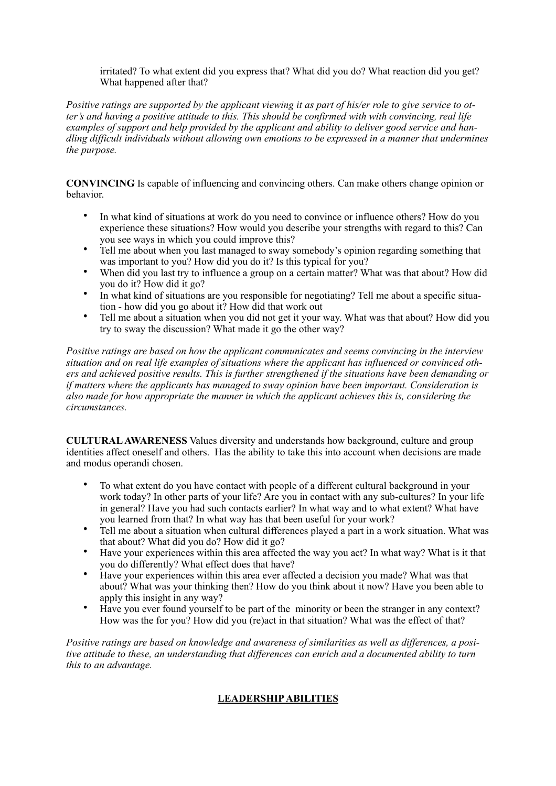irritated? To what extent did you express that? What did you do? What reaction did you get? What happened after that?

*Positive ratings are supported by the applicant viewing it as part of his/er role to give service to otter's and having a positive attitude to this. This should be confirmed with with convincing, real life examples of support and help provided by the applicant and ability to deliver good service and handling difficult individuals without allowing own emotions to be expressed in a manner that undermines the purpose.* 

**CONVINCING** Is capable of influencing and convincing others. Can make others change opinion or behavior.

- In what kind of situations at work do you need to convince or influence others? How do you experience these situations? How would you describe your strengths with regard to this? Can you see ways in which you could improve this?
- Tell me about when you last managed to sway somebody's opinion regarding something that was important to you? How did you do it? Is this typical for you?
- When did you last try to influence a group on a certain matter? What was that about? How did you do it? How did it go?
- In what kind of situations are you responsible for negotiating? Tell me about a specific situation - how did you go about it? How did that work out
- Tell me about a situation when you did not get it your way. What was that about? How did you try to sway the discussion? What made it go the other way?

*Positive ratings are based on how the applicant communicates and seems convincing in the interview situation and on real life examples of situations where the applicant has influenced or convinced others and achieved positive results. This is further strengthened if the situations have been demanding or if matters where the applicants has managed to sway opinion have been important. Consideration is also made for how appropriate the manner in which the applicant achieves this is, considering the circumstances.* 

**CULTURAL AWARENESS** Values diversity and understands how background, culture and group identities affect oneself and others. Has the ability to take this into account when decisions are made and modus operandi chosen.

- To what extent do you have contact with people of a different cultural background in your work today? In other parts of your life? Are you in contact with any sub-cultures? In your life in general? Have you had such contacts earlier? In what way and to what extent? What have you learned from that? In what way has that been useful for your work?
- Tell me about a situation when cultural differences played a part in a work situation. What was that about? What did you do? How did it go?
- Have your experiences within this area affected the way you act? In what way? What is it that you do differently? What effect does that have?
- Have your experiences within this area ever affected a decision you made? What was that about? What was your thinking then? How do you think about it now? Have you been able to apply this insight in any way?
- Have you ever found yourself to be part of the minority or been the stranger in any context? How was the for you? How did you (re)act in that situation? What was the effect of that?

*Positive ratings are based on knowledge and awareness of similarities as well as differences, a positive attitude to these, an understanding that differences can enrich and a documented ability to turn this to an advantage.* 

# **LEADERSHIP ABILITIES**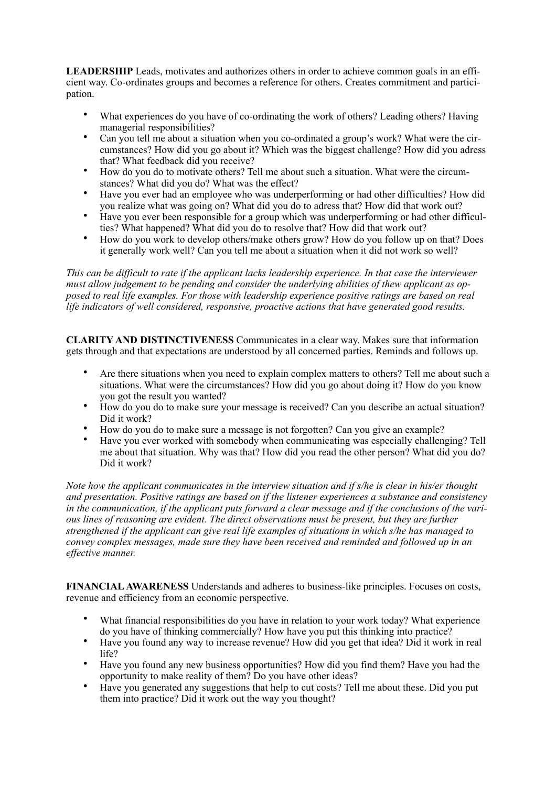**LEADERSHIP** Leads, motivates and authorizes others in order to achieve common goals in an efficient way. Co-ordinates groups and becomes a reference for others. Creates commitment and participation.

- What experiences do you have of co-ordinating the work of others? Leading others? Having managerial responsibilities?
- Can you tell me about a situation when you co-ordinated a group's work? What were the circumstances? How did you go about it? Which was the biggest challenge? How did you adress that? What feedback did you receive?
- How do you do to motivate others? Tell me about such a situation. What were the circumstances? What did you do? What was the effect?
- Have you ever had an employee who was underperforming or had other difficulties? How did you realize what was going on? What did you do to adress that? How did that work out?
- Have you ever been responsible for a group which was underperforming or had other difficulties? What happened? What did you do to resolve that? How did that work out?
- How do you work to develop others/make others grow? How do you follow up on that? Does it generally work well? Can you tell me about a situation when it did not work so well?

*This can be difficult to rate if the applicant lacks leadership experience. In that case the interviewer must allow judgement to be pending and consider the underlying abilities of thew applicant as opposed to real life examples. For those with leadership experience positive ratings are based on real life indicators of well considered, responsive, proactive actions that have generated good results.* 

**CLARITY AND DISTINCTIVENESS** Communicates in a clear way. Makes sure that information gets through and that expectations are understood by all concerned parties. Reminds and follows up.

- Are there situations when you need to explain complex matters to others? Tell me about such a situations. What were the circumstances? How did you go about doing it? How do you know you got the result you wanted?
- How do you do to make sure your message is received? Can you describe an actual situation? Did it work?
- How do you do to make sure a message is not forgotten? Can you give an example?
- Have you ever worked with somebody when communicating was especially challenging? Tell me about that situation. Why was that? How did you read the other person? What did you do? Did it work?

*Note how the applicant communicates in the interview situation and if s/he is clear in his/er thought and presentation. Positive ratings are based on if the listener experiences a substance and consistency in the communication, if the applicant puts forward a clear message and if the conclusions of the various lines of reasoning are evident. The direct observations must be present, but they are further strengthened if the applicant can give real life examples of situations in which s/he has managed to convey complex messages, made sure they have been received and reminded and followed up in an effective manner.* 

**FINANCIAL AWARENESS** Understands and adheres to business-like principles. Focuses on costs, revenue and efficiency from an economic perspective.

- What financial responsibilities do you have in relation to your work today? What experience do you have of thinking commercially? How have you put this thinking into practice?
- Have you found any way to increase revenue? How did you get that idea? Did it work in real life?
- Have you found any new business opportunities? How did you find them? Have you had the opportunity to make reality of them? Do you have other ideas?
- Have you generated any suggestions that help to cut costs? Tell me about these. Did you put them into practice? Did it work out the way you thought?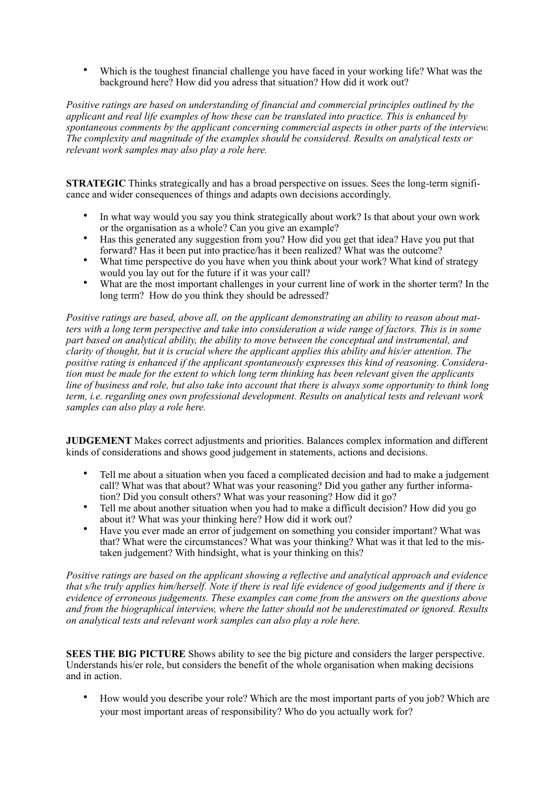• Which is the toughest financial challenge you have faced in your working life? What was the background here? How did you adress that situation? How did it work out?

*Positive ratings are based on understanding of financial and commercial principles outlined by the applicant and real life examples of how these can be translated into practice. This is enhanced by spontaneous comments by the applicant concerning commercial aspects in other parts of the interview. The complexity and magnitude of the examples should be considered. Results on analytical tests or relevant work samples may also play a role here.* 

**STRATEGIC** Thinks strategically and has a broad perspective on issues. Sees the long-term significance and wider consequences of things and adapts own decisions accordingly.

- In what way would you say you think strategically about work? Is that about your own work or the organisation as a whole? Can you give an example?
- Has this generated any suggestion from you? How did you get that idea? Have you put that forward? Has it been put into practice/has it been realized? What was the outcome?
- What time perspective do you have when you think about your work? What kind of strategy would you lay out for the future if it was your call?
- What are the most important challenges in your current line of work in the shorter term? In the long term? How do you think they should be adressed?

*Positive ratings are based, above all, on the applicant demonstrating an ability to reason about matters with a long term perspective and take into consideration a wide range of factors. This is in some part based on analytical ability, the ability to move between the conceptual and instrumental, and clarity of thought, but it is crucial where the applicant applies this ability and his/er attention. The positive rating is enhanced if the applicant spontaneously expresses this kind of reasoning. Consideration must be made for the extent to which long term thinking has been relevant given the applicants line of business and role, but also take into account that there is always some opportunity to think long term, i.e. regarding ones own professional development. Results on analytical tests and relevant work samples can also play a role here.* 

**JUDGEMENT** Makes correct adjustments and priorities. Balances complex information and different kinds of considerations and shows good judgement in statements, actions and decisions.

- Tell me about a situation when you faced a complicated decision and had to make a judgement call? What was that about? What was your reasoning? Did you gather any further information? Did you consult others? What was your reasoning? How did it go?
- Tell me about another situation when you had to make a difficult decision? How did you go about it? What was your thinking here? How did it work out?
- Have you ever made an error of judgement on something you consider important? What was that? What were the circumstances? What was your thinking? What was it that led to the mistaken judgement? With hindsight, what is your thinking on this?

*Positive ratings are based on the applicant showing a reflective and analytical approach and evidence that s/he truly applies him/herself. Note if there is real life evidence of good judgements and if there is evidence of erroneous judgements. These examples can come from the answers on the questions above and from the biographical interview, where the latter should not be underestimated or ignored. Results on analytical tests and relevant work samples can also play a role here.* 

**SEES THE BIG PICTURE** Shows ability to see the big picture and considers the larger perspective. Understands his/er role, but considers the benefit of the whole organisation when making decisions and in action.

• How would you describe your role? Which are the most important parts of you job? Which are your most important areas of responsibility? Who do you actually work for?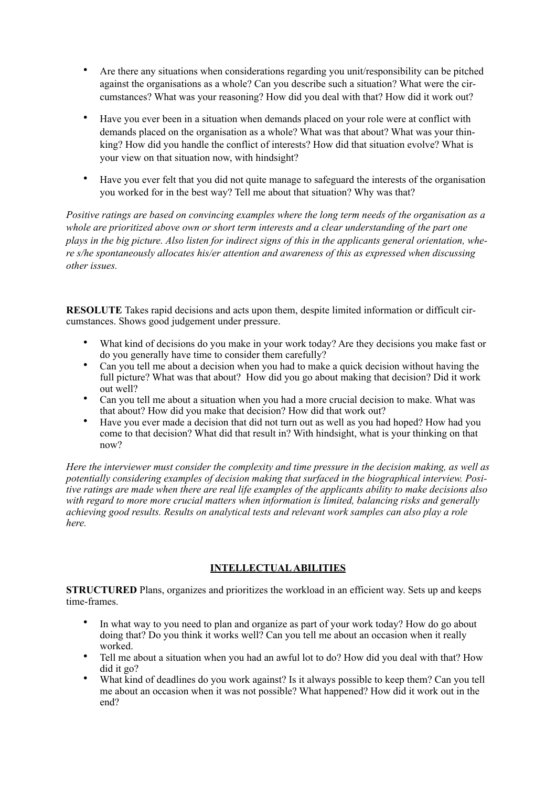- Are there any situations when considerations regarding you unit/responsibility can be pitched against the organisations as a whole? Can you describe such a situation? What were the circumstances? What was your reasoning? How did you deal with that? How did it work out?
- Have you ever been in a situation when demands placed on your role were at conflict with demands placed on the organisation as a whole? What was that about? What was your thinking? How did you handle the conflict of interests? How did that situation evolve? What is your view on that situation now, with hindsight?
- Have you ever felt that you did not quite manage to safeguard the interests of the organisation you worked for in the best way? Tell me about that situation? Why was that?

*Positive ratings are based on convincing examples where the long term needs of the organisation as a whole are prioritized above own or short term interests and a clear understanding of the part one plays in the big picture. Also listen for indirect signs of this in the applicants general orientation, where s/he spontaneously allocates his/er attention and awareness of this as expressed when discussing other issues.* 

**RESOLUTE** Takes rapid decisions and acts upon them, despite limited information or difficult circumstances. Shows good judgement under pressure.

- What kind of decisions do you make in your work today? Are they decisions you make fast or do you generally have time to consider them carefully?
- Can you tell me about a decision when you had to make a quick decision without having the full picture? What was that about? How did you go about making that decision? Did it work out well?
- Can you tell me about a situation when you had a more crucial decision to make. What was that about? How did you make that decision? How did that work out?
- Have you ever made a decision that did not turn out as well as you had hoped? How had you come to that decision? What did that result in? With hindsight, what is your thinking on that now?

*Here the interviewer must consider the complexity and time pressure in the decision making, as well as potentially considering examples of decision making that surfaced in the biographical interview. Positive ratings are made when there are real life examples of the applicants ability to make decisions also with regard to more more crucial matters when information is limited, balancing risks and generally achieving good results. Results on analytical tests and relevant work samples can also play a role here.* 

### **INTELLECTUAL ABILITIES**

**STRUCTURED** Plans, organizes and prioritizes the workload in an efficient way. Sets up and keeps time-frames.

- In what way to you need to plan and organize as part of your work today? How do go about doing that? Do you think it works well? Can you tell me about an occasion when it really worked.
- Tell me about a situation when you had an awful lot to do? How did you deal with that? How did it go?
- What kind of deadlines do you work against? Is it always possible to keep them? Can you tell me about an occasion when it was not possible? What happened? How did it work out in the end?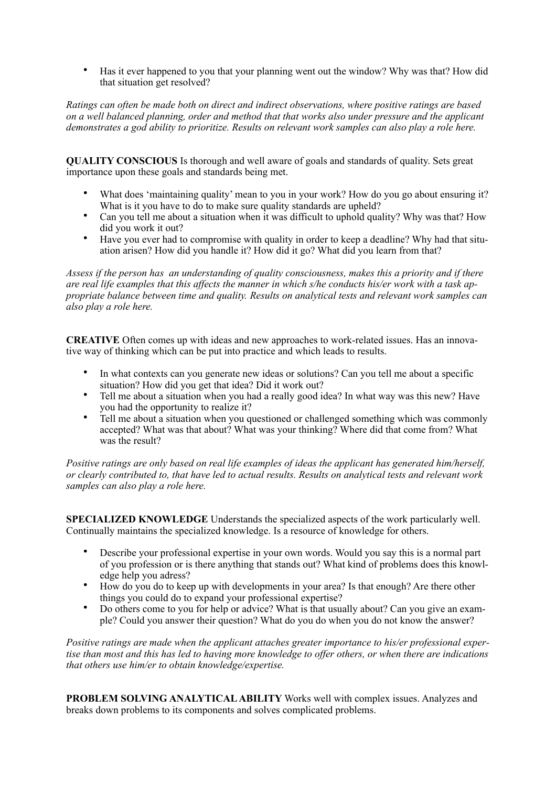• Has it ever happened to you that your planning went out the window? Why was that? How did that situation get resolved?

*Ratings can often be made both on direct and indirect observations, where positive ratings are based on a well balanced planning, order and method that that works also under pressure and the applicant demonstrates a god ability to prioritize. Results on relevant work samples can also play a role here.* 

**QUALITY CONSCIOUS** Is thorough and well aware of goals and standards of quality. Sets great importance upon these goals and standards being met.

- What does 'maintaining quality' mean to you in your work? How do you go about ensuring it? What is it you have to do to make sure quality standards are upheld?
- Can you tell me about a situation when it was difficult to uphold quality? Why was that? How did you work it out?
- Have you ever had to compromise with quality in order to keep a deadline? Why had that situation arisen? How did you handle it? How did it go? What did you learn from that?

*Assess if the person has an understanding of quality consciousness, makes this a priority and if there are real life examples that this affects the manner in which s/he conducts his/er work with a task appropriate balance between time and quality. Results on analytical tests and relevant work samples can also play a role here.* 

**CREATIVE** Often comes up with ideas and new approaches to work-related issues. Has an innovative way of thinking which can be put into practice and which leads to results.

- In what contexts can you generate new ideas or solutions? Can you tell me about a specific situation? How did you get that idea? Did it work out?
- Tell me about a situation when you had a really good idea? In what way was this new? Have you had the opportunity to realize it?
- Tell me about a situation when you questioned or challenged something which was commonly accepted? What was that about? What was your thinking? Where did that come from? What was the result?

*Positive ratings are only based on real life examples of ideas the applicant has generated him/herself, or clearly contributed to, that have led to actual results. Results on analytical tests and relevant work samples can also play a role here.* 

**SPECIALIZED KNOWLEDGE** Understands the specialized aspects of the work particularly well. Continually maintains the specialized knowledge. Is a resource of knowledge for others.

- Describe your professional expertise in your own words. Would you say this is a normal part of you profession or is there anything that stands out? What kind of problems does this knowledge help you adress?
- How do you do to keep up with developments in your area? Is that enough? Are there other things you could do to expand your professional expertise?
- Do others come to you for help or advice? What is that usually about? Can you give an example? Could you answer their question? What do you do when you do not know the answer?

*Positive ratings are made when the applicant attaches greater importance to his/er professional expertise than most and this has led to having more knowledge to offer others, or when there are indications that others use him/er to obtain knowledge/expertise.* 

**PROBLEM SOLVING ANALYTICAL ABILITY** Works well with complex issues. Analyzes and breaks down problems to its components and solves complicated problems.